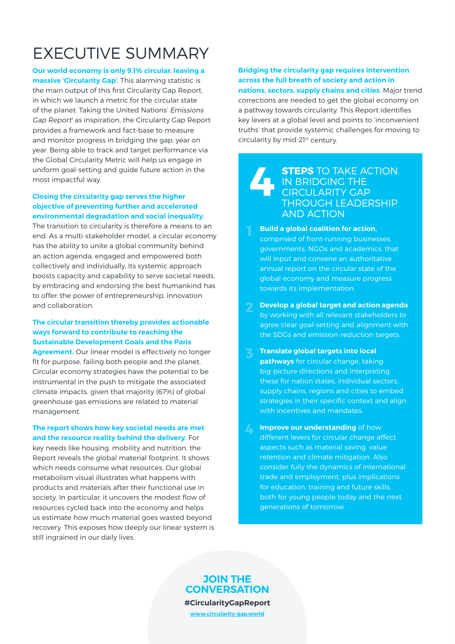# EXECUTIVE SUMMARY

**Our world economy is only 9.1% circular, leaving a massive 'Circularity Gap'.** This alarming statistic is the main output of this first Circularity Gap Report, in which we launch a metric for the circular state of the planet. Taking the United Nations' Emissions Gap Report<sup>1</sup> as inspiration, the Circularity Gap Report provides a framework and fact-base to measure and monitor progress in bridging the gap, year on year. Being able to track and target performance via the Global Circularity Metric will help us engage in uniform goal-setting and guide future action in the most impactful way.

### **Closing the circularity gap serves the higher objective of preventing further and accelerated environmental degradation and social inequality.**

The transition to circularity is therefore a means to an end. As a multi-stakeholder model, a circular economy has the ability to unite a global community behind an action agenda, engaged and empowered both collectively and individually. Its systemic approach boosts capacity and capability to serve societal needs, by embracing and endorsing the best humankind has to offer: the power of entrepreneurship, innovation and collaboration.

## **The circular transition thereby provides actionable ways forward to contribute to reaching the Sustainable Development Goals and the Paris**

**Agreement.** Our linear model is effectively no longer fit for purpose, failing both people and the planet. Circular economy strategies have the potential to be instrumental in the push to mitigate the associated climate impacts, given that majority (67%) of global greenhouse gas emissions are related to material management.

#### **The report shows how key societal needs are met and the resource reality behind the delivery.** For

key needs like housing, mobility and nutrition, the Report reveals the global material footprint. It shows which needs consume what resources. Our global metabolism visual illustrates what happens with products and materials after their functional use in society. In particular, it uncovers the modest flow of resources cycled back into the economy and helps us estimate how much material goes wasted beyond recovery. This exposes how deeply our linear system is still ingrained in our daily lives.

## **Bridging the circularity gap requires intervention across the full breath of society and action in**

**nations, sectors, supply chains and cities.** Major trend corrections are needed to get the global economy on a pathway towards circularity. This Report identifies key levers at a global level and points to 'inconvenient truths' that provide systemic challenges for moving to circularity by mid-21st century.

#### **STEPS** TO TAKE ACTION IN BRIDGING THE CIRCULARITY GAP THROUGH LEADERSHIP AND ACTION **4**

- **Build a global coalition for action,** comprised of front-running businesses, governments, NGOs and academics, that will input and convene an authoritative annual report on the circular state of the global economy and measure progress towards its implementation.
- **Develop a global target and action agenda** by working with all relevant stakeholders to agree clear goal-setting and alignment with the SDGs and emission-reduction targets.
- **Translate global targets into local pathways** for circular change, taking big-picture directions and interpreting these for nation states, individual sectors, supply chains, regions and cities to embed strategies in their specific context and align with incentives and mandates.
- **Improve our understanding** of how different levers for circular change affect aspects such as material saving, value retention and climate mitigation. Also consider fully the dynamics of international trade and employment, plus implications for education, training and future skills, both for young people today and the next generations of tomorrow. **4**

# **JOIN THE CONVERSATION #CircularityGapReport**

**www.circularity-gap.world**